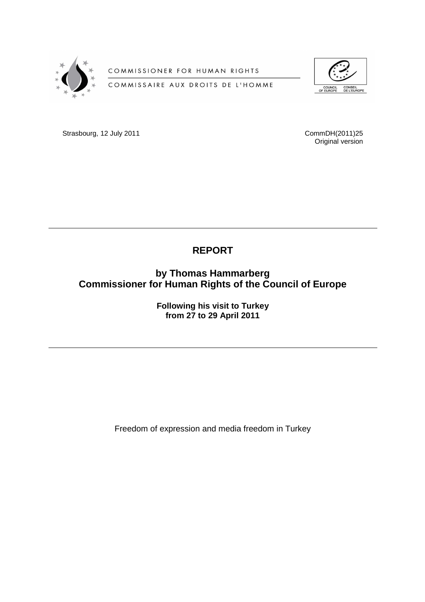

COMMISSIONER FOR HUMAN RIGHTS

COMMISSAIRE AUX DROITS DE L'HOMME



**Strasbourg, 12 July 2011 CommDH(2011)25** 

Original version

# **REPORT**

**by Thomas Hammarberg Commissioner for Human Rights of the Council of Europe** 

> **Following his visit to Turkey from 27 to 29 April 2011**

Freedom of expression and media freedom in Turkey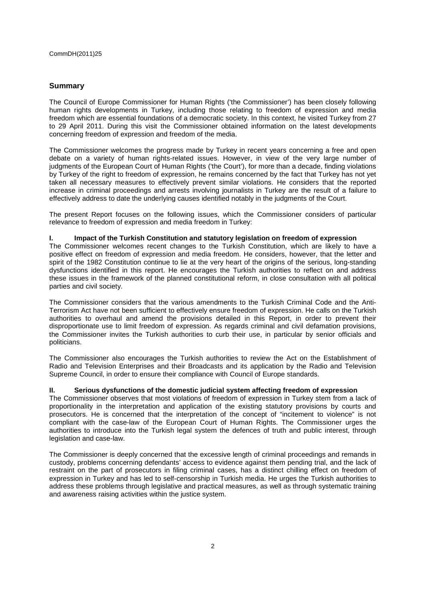# **Summary**

The Council of Europe Commissioner for Human Rights ('the Commissioner') has been closely following human rights developments in Turkey, including those relating to freedom of expression and media freedom which are essential foundations of a democratic society. In this context, he visited Turkey from 27 to 29 April 2011. During this visit the Commissioner obtained information on the latest developments concerning freedom of expression and freedom of the media.

The Commissioner welcomes the progress made by Turkey in recent years concerning a free and open debate on a variety of human rights-related issues. However, in view of the very large number of judgments of the European Court of Human Rights ('the Court'), for more than a decade, finding violations by Turkey of the right to freedom of expression, he remains concerned by the fact that Turkey has not yet taken all necessary measures to effectively prevent similar violations. He considers that the reported increase in criminal proceedings and arrests involving journalists in Turkey are the result of a failure to effectively address to date the underlying causes identified notably in the judgments of the Court.

The present Report focuses on the following issues, which the Commissioner considers of particular relevance to freedom of expression and media freedom in Turkey:

### **I. Impact of the Turkish Constitution and statutory legislation on freedom of expression**

The Commissioner welcomes recent changes to the Turkish Constitution, which are likely to have a positive effect on freedom of expression and media freedom. He considers, however, that the letter and spirit of the 1982 Constitution continue to lie at the very heart of the origins of the serious, long-standing dysfunctions identified in this report. He encourages the Turkish authorities to reflect on and address these issues in the framework of the planned constitutional reform, in close consultation with all political parties and civil society.

The Commissioner considers that the various amendments to the Turkish Criminal Code and the Anti-Terrorism Act have not been sufficient to effectively ensure freedom of expression. He calls on the Turkish authorities to overhaul and amend the provisions detailed in this Report, in order to prevent their disproportionate use to limit freedom of expression. As regards criminal and civil defamation provisions, the Commissioner invites the Turkish authorities to curb their use, in particular by senior officials and politicians.

The Commissioner also encourages the Turkish authorities to review the Act on the Establishment of Radio and Television Enterprises and their Broadcasts and its application by the Radio and Television Supreme Council, in order to ensure their compliance with Council of Europe standards.

# **II. Serious dysfunctions of the domestic judicial system affecting freedom of expression**

The Commissioner observes that most violations of freedom of expression in Turkey stem from a lack of proportionality in the interpretation and application of the existing statutory provisions by courts and prosecutors. He is concerned that the interpretation of the concept of "incitement to violence" is not compliant with the case-law of the European Court of Human Rights. The Commissioner urges the authorities to introduce into the Turkish legal system the defences of truth and public interest, through legislation and case-law.

The Commissioner is deeply concerned that the excessive length of criminal proceedings and remands in custody, problems concerning defendants' access to evidence against them pending trial, and the lack of restraint on the part of prosecutors in filing criminal cases, has a distinct chilling effect on freedom of expression in Turkey and has led to self-censorship in Turkish media. He urges the Turkish authorities to address these problems through legislative and practical measures, as well as through systematic training and awareness raising activities within the justice system.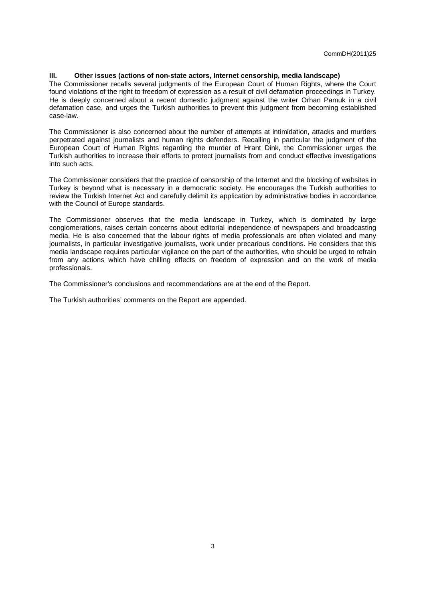## **III. Other issues (actions of non-state actors, Internet censorship, media landscape)**

The Commissioner recalls several judgments of the European Court of Human Rights, where the Court found violations of the right to freedom of expression as a result of civil defamation proceedings in Turkey. He is deeply concerned about a recent domestic judgment against the writer Orhan Pamuk in a civil defamation case, and urges the Turkish authorities to prevent this judgment from becoming established case-law.

The Commissioner is also concerned about the number of attempts at intimidation, attacks and murders perpetrated against journalists and human rights defenders. Recalling in particular the judgment of the European Court of Human Rights regarding the murder of Hrant Dink, the Commissioner urges the Turkish authorities to increase their efforts to protect journalists from and conduct effective investigations into such acts.

The Commissioner considers that the practice of censorship of the Internet and the blocking of websites in Turkey is beyond what is necessary in a democratic society. He encourages the Turkish authorities to review the Turkish Internet Act and carefully delimit its application by administrative bodies in accordance with the Council of Europe standards.

The Commissioner observes that the media landscape in Turkey, which is dominated by large conglomerations, raises certain concerns about editorial independence of newspapers and broadcasting media. He is also concerned that the labour rights of media professionals are often violated and many journalists, in particular investigative journalists, work under precarious conditions. He considers that this media landscape requires particular vigilance on the part of the authorities, who should be urged to refrain from any actions which have chilling effects on freedom of expression and on the work of media professionals.

The Commissioner's conclusions and recommendations are at the end of the Report.

The Turkish authorities' comments on the Report are appended.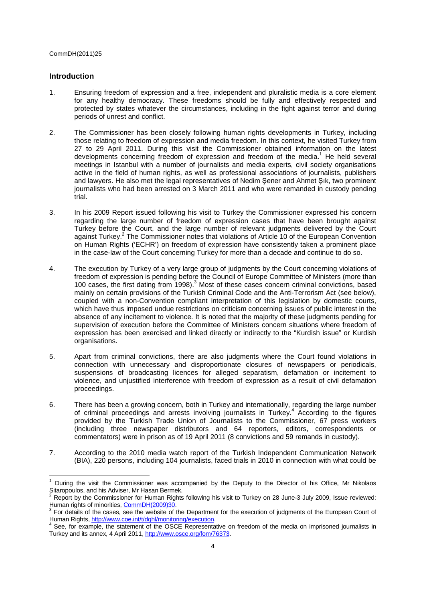## **Introduction**

- 1. Ensuring freedom of expression and a free, independent and pluralistic media is a core element for any healthy democracy. These freedoms should be fully and effectively respected and protected by states whatever the circumstances, including in the fight against terror and during periods of unrest and conflict.
- 2. The Commissioner has been closely following human rights developments in Turkey, including those relating to freedom of expression and media freedom. In this context, he visited Turkey from 27 to 29 April 2011. During this visit the Commissioner obtained information on the latest developments concerning freedom of expression and freedom of the media.<sup>1</sup> He held several meetings in Istanbul with a number of journalists and media experts, civil society organisations active in the field of human rights, as well as professional associations of journalists, publishers and lawyers. He also met the legal representatives of Nedim Şener and Ahmet Şık, two prominent journalists who had been arrested on 3 March 2011 and who were remanded in custody pending trial.
- 3. In his 2009 Report issued following his visit to Turkey the Commissioner expressed his concern regarding the large number of freedom of expression cases that have been brought against Turkey before the Court, and the large number of relevant judgments delivered by the Court against Turkey.<sup>2</sup> The Commissioner notes that violations of Article 10 of the European Convention on Human Rights ('ECHR') on freedom of expression have consistently taken a prominent place in the case-law of the Court concerning Turkey for more than a decade and continue to do so.
- 4. The execution by Turkey of a very large group of judgments by the Court concerning violations of freedom of expression is pending before the Council of Europe Committee of Ministers (more than 100 cases, the first dating from 1998).<sup>3</sup> Most of these cases concern criminal convictions, based mainly on certain provisions of the Turkish Criminal Code and the Anti-Terrorism Act (see below), coupled with a non-Convention compliant interpretation of this legislation by domestic courts, which have thus imposed undue restrictions on criticism concerning issues of public interest in the absence of any incitement to violence. It is noted that the majority of these judgments pending for supervision of execution before the Committee of Ministers concern situations where freedom of expression has been exercised and linked directly or indirectly to the "Kurdish issue" or Kurdish organisations.
- 5. Apart from criminal convictions, there are also judgments where the Court found violations in connection with unnecessary and disproportionate closures of newspapers or periodicals, suspensions of broadcasting licences for alleged separatism, defamation or incitement to violence, and unjustified interference with freedom of expression as a result of civil defamation proceedings.
- 6. There has been a growing concern, both in Turkey and internationally, regarding the large number of criminal proceedings and arrests involving journalists in Turkey.<sup>4</sup> According to the figures provided by the Turkish Trade Union of Journalists to the Commissioner, 67 press workers (including three newspaper distributors and 64 reporters, editors, correspondents or commentators) were in prison as of 19 April 2011 (8 convictions and 59 remands in custody).
- 7. According to the 2010 media watch report of the Turkish Independent Communication Network (BIA), 220 persons, including 104 journalists, faced trials in 2010 in connection with what could be

<sup>1</sup> During the visit the Commissioner was accompanied by the Deputy to the Director of his Office, Mr Nikolaos Sitaropoulos, and his Adviser, Mr Hasan Bermek.

<sup>2</sup> Report by the Commissioner for Human Rights following his visit to Turkey on 28 June-3 July 2009, Issue reviewed: Human rights of minorities, CommDH(2009)30

 $3$  For details of the cases, see the website of the Department for the execution of judgments of the European Court of Human Rights, http://www.coe.int/t/dghl/monitoring/execution.<br><sup>4</sup> See, for example, the statement of the OSCE Benresonted

See, for example, the statement of the OSCE Representative on freedom of the media on imprisoned journalists in Turkey and its annex, 4 April 2011, http://www.osce.org/fom/76373.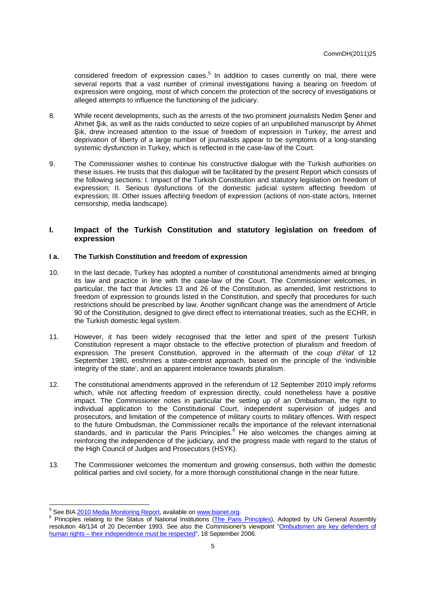considered freedom of expression cases.<sup>5</sup> In addition to cases currently on trial, there were several reports that a vast number of criminal investigations having a bearing on freedom of expression were ongoing, most of which concern the protection of the secrecy of investigations or alleged attempts to influence the functioning of the judiciary.

- 8. While recent developments, such as the arrests of the two prominent journalists Nedim Şener and Ahmet Şık, as well as the raids conducted to seize copies of an unpublished manuscript by Ahmet Sik, drew increased attention to the issue of freedom of expression in Turkey, the arrest and deprivation of liberty of a large number of journalists appear to be symptoms of a long-standing systemic dysfunction in Turkey, which is reflected in the case-law of the Court.
- 9. The Commissioner wishes to continue his constructive dialogue with the Turkish authorities on these issues. He trusts that this dialogue will be facilitated by the present Report which consists of the following sections: I. Impact of the Turkish Constitution and statutory legislation on freedom of expression; II. Serious dysfunctions of the domestic judicial system affecting freedom of expression; III. Other issues affecting freedom of expression (actions of non-state actors, Internet censorship, media landscape).

# **I. Impact of the Turkish Constitution and statutory legislation on freedom of expression**

## **I a. The Turkish Constitution and freedom of expression**

- 10. In the last decade, Turkey has adopted a number of constitutional amendments aimed at bringing its law and practice in line with the case-law of the Court. The Commissioner welcomes, in particular, the fact that Articles 13 and 26 of the Constitution, as amended, limit restrictions to freedom of expression to grounds listed in the Constitution, and specify that procedures for such restrictions should be prescribed by law. Another significant change was the amendment of Article 90 of the Constitution, designed to give direct effect to international treaties, such as the ECHR, in the Turkish domestic legal system.
- 11. However, it has been widely recognised that the letter and spirit of the present Turkish Constitution represent a major obstacle to the effective protection of pluralism and freedom of expression. The present Constitution, approved in the aftermath of the coup d'état of 12 September 1980, enshrines a state-centrist approach, based on the principle of the 'indivisible integrity of the state', and an apparent intolerance towards pluralism.
- 12. The constitutional amendments approved in the referendum of 12 September 2010 imply reforms which, while not affecting freedom of expression directly, could nonetheless have a positive impact. The Commissioner notes in particular the setting up of an Ombudsman, the right to individual application to the Constitutional Court, independent supervision of judges and prosecutors, and limitation of the competence of military courts to military offences. With respect to the future Ombudsman, the Commissioner recalls the importance of the relevant international standards, and in particular the Paris Principles. <sup>6</sup> He also welcomes the changes aiming at reinforcing the independence of the judiciary, and the progress made with regard to the status of the High Council of Judges and Prosecutors (HSYK).
- 13. The Commissioner welcomes the momentum and growing consensus, both within the domestic political parties and civil society, for a more thorough constitutional change in the near future.

<sup>&</sup>lt;u>s</u><br>
<sup>5</sup> See BIA <u>2010 Media Monitoring Report,</u> available on www.bianet.org.

<sup>&</sup>lt;sup>6</sup> Principles relating to the Status of National Institutions (The Paris Principles), Adopted by UN General Assembly resolution 48/134 of 20 December 1993. See also the Commisioner's viewpoint "Ombudsmen are key defenders of human rights – their independence must be respected", 18 September 2006.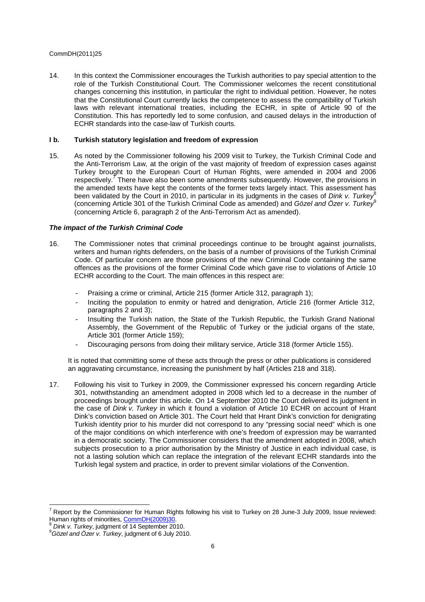14. In this context the Commissioner encourages the Turkish authorities to pay special attention to the role of the Turkish Constitutional Court. The Commissioner welcomes the recent constitutional changes concerning this institution, in particular the right to individual petition. However, he notes that the Constitutional Court currently lacks the competence to assess the compatibility of Turkish laws with relevant international treaties, including the ECHR, in spite of Article 90 of the Constitution. This has reportedly led to some confusion, and caused delays in the introduction of ECHR standards into the case-law of Turkish courts.

#### **I b. Turkish statutory legislation and freedom of expression**

15. As noted by the Commissioner following his 2009 visit to Turkey, the Turkish Criminal Code and the Anti-Terrorism Law, at the origin of the vast majority of freedom of expression cases against Turkey brought to the European Court of Human Rights, were amended in 2004 and 2006 respectively.<sup>7</sup> There have also been some amendments subsequently. However, the provisions in the amended texts have kept the contents of the former texts largely intact. This assessment has been validated by the Court in 2010, in particular in its judgments in the cases of Dink v. Turkey<sup>8</sup> (concerning Article 301 of the Turkish Criminal Code as amended) and Gözel and Özer v. Turkey<sup>9</sup> (concerning Article 6, paragraph 2 of the Anti-Terrorism Act as amended).

#### **The impact of the Turkish Criminal Code**

- 16. The Commissioner notes that criminal proceedings continue to be brought against journalists, writers and human rights defenders, on the basis of a number of provisions of the Turkish Criminal Code. Of particular concern are those provisions of the new Criminal Code containing the same offences as the provisions of the former Criminal Code which gave rise to violations of Article 10 ECHR according to the Court. The main offences in this respect are:
	- Praising a crime or criminal, Article 215 (former Article 312, paragraph 1);
	- Inciting the population to enmity or hatred and denigration, Article 216 (former Article 312, paragraphs 2 and 3);
	- Insulting the Turkish nation, the State of the Turkish Republic, the Turkish Grand National Assembly, the Government of the Republic of Turkey or the judicial organs of the state, Article 301 (former Article 159);
	- Discouraging persons from doing their military service, Article 318 (former Article 155).

It is noted that committing some of these acts through the press or other publications is considered an aggravating circumstance, increasing the punishment by half (Articles 218 and 318).

17. Following his visit to Turkey in 2009, the Commissioner expressed his concern regarding Article 301, notwithstanding an amendment adopted in 2008 which led to a decrease in the number of proceedings brought under this article. On 14 September 2010 the Court delivered its judgment in the case of Dink v. Turkey in which it found a violation of Article 10 ECHR on account of Hrant Dink's conviction based on Article 301. The Court held that Hrant Dink's conviction for denigrating Turkish identity prior to his murder did not correspond to any "pressing social need" which is one of the major conditions on which interference with one's freedom of expression may be warranted in a democratic society. The Commissioner considers that the amendment adopted in 2008, which subjects prosecution to a prior authorisation by the Ministry of Justice in each individual case, is not a lasting solution which can replace the integration of the relevant ECHR standards into the Turkish legal system and practice, in order to prevent similar violations of the Convention.

 $^7$  Report by the Commissioner for Human Rights following his visit to Turkey on 28 June-3 July 2009, Issue reviewed: Human rights of minorities, CommDH(2009)30.

Dink v. Turkey, judgment of 14 September 2010.

 $^{9}$ Gözel and Özer v. Turkey, judgment of 6 July 2010.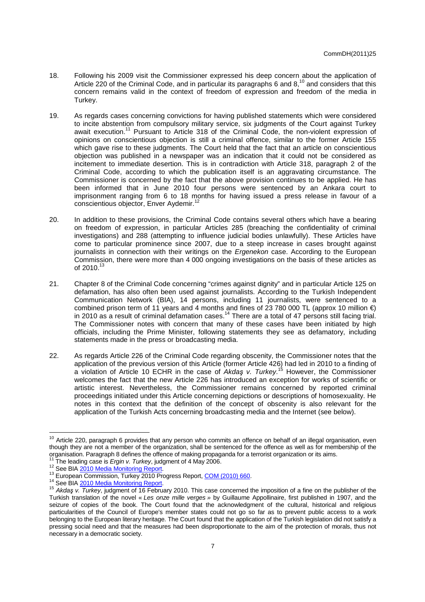- 18. Following his 2009 visit the Commissioner expressed his deep concern about the application of Article 220 of the Criminal Code, and in particular its paragraphs 6 and 8,<sup>10</sup> and considers that this concern remains valid in the context of freedom of expression and freedom of the media in Turkey.
- 19. As regards cases concerning convictions for having published statements which were considered to incite abstention from compulsory military service, six judgments of the Court against Turkey await execution.<sup>11</sup> Pursuant to Article 318 of the Criminal Code, the non-violent expression of opinions on conscientious objection is still a criminal offence, similar to the former Article 155 which gave rise to these judgments. The Court held that the fact that an article on conscientious objection was published in a newspaper was an indication that it could not be considered as incitement to immediate desertion. This is in contradiction with Article 318, paragraph 2 of the Criminal Code, according to which the publication itself is an aggravating circumstance. The Commissioner is concerned by the fact that the above provision continues to be applied. He has been informed that in June 2010 four persons were sentenced by an Ankara court to imprisonment ranging from 6 to 18 months for having issued a press release in favour of a conscientious objector, Enver Aydemir.<sup>12</sup>
- 20. In addition to these provisions, the Criminal Code contains several others which have a bearing on freedom of expression, in particular Articles 285 (breaching the confidentiality of criminal investigations) and 288 (attempting to influence judicial bodies unlawfully). These Articles have come to particular prominence since 2007, due to a steep increase in cases brought against journalists in connection with their writings on the Ergenekon case. According to the European Commission, there were more than 4 000 ongoing investigations on the basis of these articles as of 2010.<sup>13</sup>
- 21. Chapter 8 of the Criminal Code concerning "crimes against dignity" and in particular Article 125 on defamation, has also often been used against journalists. According to the Turkish Independent Communication Network (BIA), 14 persons, including 11 journalists, were sentenced to a combined prison term of 11 years and 4 months and fines of 23 780 000 TL (approx 10 million  $\epsilon$ ) in 2010 as a result of criminal defamation cases.<sup>14</sup> There are a total of 47 persons still facing trial. The Commissioner notes with concern that many of these cases have been initiated by high officials, including the Prime Minister, following statements they see as defamatory, including statements made in the press or broadcasting media.
- 22. As regards Article 226 of the Criminal Code regarding obscenity, the Commissioner notes that the application of the previous version of this Article (former Article 426) had led in 2010 to a finding of a violation of Article 10 ECHR in the case of Akda*ş* v. Turkey.<sup>15</sup> However, the Commissioner welcomes the fact that the new Article 226 has introduced an exception for works of scientific or artistic interest. Nevertheless, the Commissioner remains concerned by reported criminal proceedings initiated under this Article concerning depictions or descriptions of homosexuality. He notes in this context that the definition of the concept of obscenity is also relevant for the application of the Turkish Acts concerning broadcasting media and the Internet (see below).

 $10$  Article 220, paragraph 6 provides that any person who commits an offence on behalf of an illegal organisation, even though they are not a member of the organization, shall be sentenced for the offence as well as for membership of the organisation. Paragraph 8 defines the offence of making propaganda for a terrorist organization or its aims. The leading case is *Ergin v. Turkey*, judgment of 4 May 2006.

<sup>&</sup>lt;sup>12</sup> See BIA 2010 Media Monitoring Report.

<sup>13</sup> European Commission, Turkey 2010 Progress Report, COM (2010) 660.

<sup>&</sup>lt;sup>14</sup> See BIA 2010 Media Monitoring Report.

<sup>&</sup>lt;sup>15</sup> Akdas v. Turkey, judgment of 16 February 2010. This case concerned the imposition of a fine on the publisher of the Turkish translation of the novel « Les onze mille verges » by Guillaume Appollinaire, first published in 1907, and the seizure of copies of the book. The Court found that the acknowledgment of the cultural, historical and religious particularities of the Council of Europe's member states could not go so far as to prevent public access to a work belonging to the European literary heritage. The Court found that the application of the Turkish legislation did not satisfy a pressing social need and that the measures had been disproportionate to the aim of the protection of morals, thus not necessary in a democratic society.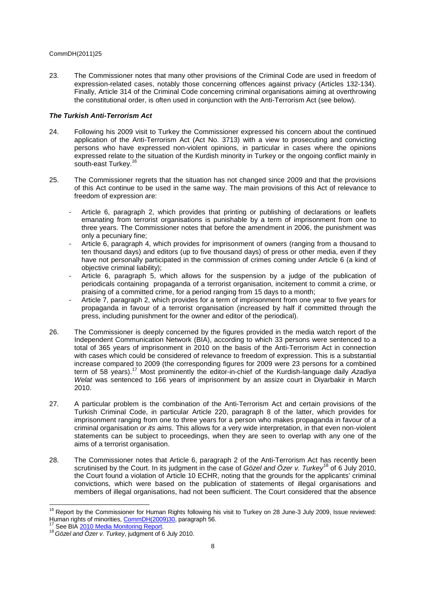23. The Commissioner notes that many other provisions of the Criminal Code are used in freedom of expression-related cases, notably those concerning offences against privacy (Articles 132-134). Finally, Article 314 of the Criminal Code concerning criminal organisations aiming at overthrowing the constitutional order, is often used in conjunction with the Anti-Terrorism Act (see below).

# **The Turkish Anti-Terrorism Act**

- 24. Following his 2009 visit to Turkey the Commissioner expressed his concern about the continued application of the Anti-Terrorism Act (Act No. 3713) with a view to prosecuting and convicting persons who have expressed non-violent opinions, in particular in cases where the opinions expressed relate to the situation of the Kurdish minority in Turkey or the ongoing conflict mainly in south-east Turkey.<sup>16</sup>
- 25. The Commissioner regrets that the situation has not changed since 2009 and that the provisions of this Act continue to be used in the same way. The main provisions of this Act of relevance to freedom of expression are:
	- Article 6, paragraph 2, which provides that printing or publishing of declarations or leaflets emanating from terrorist organisations is punishable by a term of imprisonment from one to three years. The Commissioner notes that before the amendment in 2006, the punishment was only a pecuniary fine;
	- Article 6, paragraph 4, which provides for imprisonment of owners (ranging from a thousand to ten thousand days) and editors (up to five thousand days) of press or other media, even if they have not personally participated in the commission of crimes coming under Article 6 (a kind of objective criminal liability);
	- Article 6, paragraph 5, which allows for the suspension by a judge of the publication of periodicals containing propaganda of a terrorist organisation, incitement to commit a crime, or praising of a committed crime, for a period ranging from 15 days to a month;
	- Article 7, paragraph 2, which provides for a term of imprisonment from one year to five years for propaganda in favour of a terrorist organisation (increased by half if committed through the press, including punishment for the owner and editor of the periodical).
- 26. The Commissioner is deeply concerned by the figures provided in the media watch report of the Independent Communication Network (BIA), according to which 33 persons were sentenced to a total of 365 years of imprisonment in 2010 on the basis of the Anti-Terrorism Act in connection with cases which could be considered of relevance to freedom of expression. This is a substantial increase compared to 2009 (the corresponding figures for 2009 were 23 persons for a combined term of 58 years).<sup>17</sup> Most prominently the editor-in-chief of the Kurdish-language daily Azadiya Welat was sentenced to 166 years of imprisonment by an assize court in Divarbakir in March 2010.
- 27. A particular problem is the combination of the Anti-Terrorism Act and certain provisions of the Turkish Criminal Code, in particular Article 220, paragraph 8 of the latter, which provides for imprisonment ranging from one to three years for a person who makes propaganda in favour of a criminal organisation or its aims. This allows for a very wide interpretation, in that even non-violent statements can be subject to proceedings, when they are seen to overlap with any one of the aims of a terrorist organisation.
- 28. The Commissioner notes that Article 6, paragraph 2 of the Anti-Terrorism Act has recently been scrutinised by the Court. In its judgment in the case of Gözel and Özer v. Turkey<sup>18</sup> of 6 July 2010, the Court found a violation of Article 10 ECHR, noting that the grounds for the applicants' criminal convictions, which were based on the publication of statements of illegal organisations and members of illegal organisations, had not been sufficient. The Court considered that the absence

 $16$  Report by the Commissioner for Human Rights following his visit to Turkey on 28 June-3 July 2009, Issue reviewed: Human rights of minorities, CommDH(2009)30, paragraph 56.

See BIA 2010 Media Monitoring Report.

<sup>&</sup>lt;sup>18</sup> Gözel and Özer v. Turkey, judgment of 6 July 2010.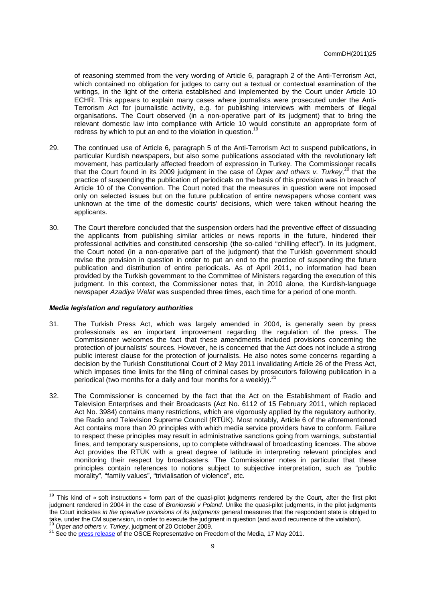of reasoning stemmed from the very wording of Article 6, paragraph 2 of the Anti-Terrorism Act, which contained no obligation for judges to carry out a textual or contextual examination of the writings, in the light of the criteria established and implemented by the Court under Article 10 ECHR. This appears to explain many cases where journalists were prosecuted under the Anti-Terrorism Act for journalistic activity, e.g. for publishing interviews with members of illegal organisations. The Court observed (in a non-operative part of its judgment) that to bring the relevant domestic law into compliance with Article 10 would constitute an appropriate form of redress by which to put an end to the violation in question.<sup>19</sup>

- 29. The continued use of Article 6, paragraph 5 of the Anti-Terrorism Act to suspend publications, in particular Kurdish newspapers, but also some publications associated with the revolutionary left movement, has particularly affected freedom of expression in Turkey. The Commissioner recalls that the Court found in its 2009 judgment in the case of Urper and others v. Turkey,<sup>20</sup> that the practice of suspending the publication of periodicals on the basis of this provision was in breach of Article 10 of the Convention. The Court noted that the measures in question were not imposed only on selected issues but on the future publication of entire newspapers whose content was unknown at the time of the domestic courts' decisions, which were taken without hearing the applicants.
- 30. The Court therefore concluded that the suspension orders had the preventive effect of dissuading the applicants from publishing similar articles or news reports in the future, hindered their professional activities and constituted censorship (the so-called "chilling effect"). In its judgment, the Court noted (in a non-operative part of the judgment) that the Turkish government should revise the provision in question in order to put an end to the practice of suspending the future publication and distribution of entire periodicals. As of April 2011, no information had been provided by the Turkish government to the Committee of Ministers regarding the execution of this judgment. In this context, the Commissioner notes that, in 2010 alone, the Kurdish-language newspaper Azadiya Welat was suspended three times, each time for a period of one month.

#### **Media legislation and regulatory authorities**

- 31. The Turkish Press Act, which was largely amended in 2004, is generally seen by press professionals as an important improvement regarding the regulation of the press. The Commissioner welcomes the fact that these amendments included provisions concerning the protection of journalists' sources. However, he is concerned that the Act does not include a strong public interest clause for the protection of journalists. He also notes some concerns regarding a decision by the Turkish Constitutional Court of 2 May 2011 invalidating Article 26 of the Press Act, which imposes time limits for the filing of criminal cases by prosecutors following publication in a periodical (two months for a daily and four months for a weekly). $^{21}$
- 32. The Commissioner is concerned by the fact that the Act on the Establishment of Radio and Television Enterprises and their Broadcasts (Act No. 6112 of 15 February 2011, which replaced Act No. 3984) contains many restrictions, which are vigorously applied by the regulatory authority, the Radio and Television Supreme Council (RTÜK). Most notably, Article 6 of the aforementioned Act contains more than 20 principles with which media service providers have to conform. Failure to respect these principles may result in administrative sanctions going from warnings, substantial fines, and temporary suspensions, up to complete withdrawal of broadcasting licences. The above Act provides the RTÜK with a great degree of latitude in interpreting relevant principles and monitoring their respect by broadcasters. The Commissioner notes in particular that these principles contain references to notions subject to subjective interpretation, such as "public morality", "family values", "trivialisation of violence", etc.

<sup>&</sup>lt;sup>19</sup> This kind of « soft instructions » form part of the quasi-pilot judgments rendered by the Court, after the first pilot judgment rendered in 2004 in the case of Broniowski v Poland. Unlike the quasi-pilot judgments, in the pilot judgments the Court indicates in the operative provisions of its judgments general measures that the respondent state is obliged to take, under the CM supervision, in order to execute the judgment in question (and avoid recurrence of the violation). Urper and others v. Turkey, judgment of 20 October 2009.

<sup>&</sup>lt;sup>21</sup> See the press release of the OSCE Representative on Freedom of the Media, 17 May 2011.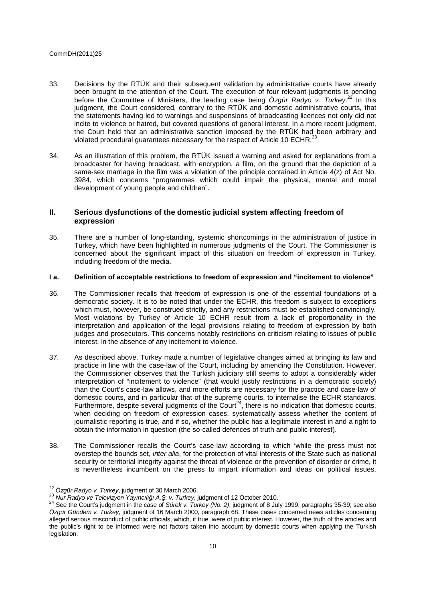- 33. Decisions by the RTÜK and their subsequent validation by administrative courts have already been brought to the attention of the Court. The execution of four relevant judgments is pending before the Committee of Ministers, the leading case being  $\ddot{O}zg\ddot{u}r$  Radyo v. Turkey.<sup>22</sup> In this judgment, the Court considered, contrary to the RTÜK and domestic administrative courts, that the statements having led to warnings and suspensions of broadcasting licences not only did not incite to violence or hatred, but covered questions of general interest. In a more recent judgment, the Court held that an administrative sanction imposed by the RTÜK had been arbitrary and violated procedural guarantees necessary for the respect of Article 10 ECHR. $^{23}$
- 34. As an illustration of this problem, the RTÜK issued a warning and asked for explanations from a broadcaster for having broadcast, with encryption, a film, on the ground that the depiction of a same-sex marriage in the film was a violation of the principle contained in Article 4(z) of Act No. 3984, which concerns "programmes which could impair the physical, mental and moral development of young people and children".

# **II. Serious dysfunctions of the domestic judicial system affecting freedom of expression**

35. There are a number of long-standing, systemic shortcomings in the administration of justice in Turkey, which have been highlighted in numerous judgments of the Court. The Commissioner is concerned about the significant impact of this situation on freedom of expression in Turkey, including freedom of the media.

## **I a. Definition of acceptable restrictions to freedom of expression and "incitement to violence"**

- 36. The Commissioner recalls that freedom of expression is one of the essential foundations of a democratic society. It is to be noted that under the ECHR, this freedom is subject to exceptions which must, however, be construed strictly, and any restrictions must be established convincingly. Most violations by Turkey of Article 10 ECHR result from a lack of proportionality in the interpretation and application of the legal provisions relating to freedom of expression by both judges and prosecutors. This concerns notably restrictions on criticism relating to issues of public interest, in the absence of any incitement to violence.
- 37. As described above, Turkey made a number of legislative changes aimed at bringing its law and practice in line with the case-law of the Court, including by amending the Constitution. However, the Commissioner observes that the Turkish judiciary still seems to adopt a considerably wider interpretation of "incitement to violence" (that would justify restrictions in a democratic society) than the Court's case-law allows, and more efforts are necessary for the practice and case-law of domestic courts, and in particular that of the supreme courts, to internalise the ECHR standards. Furthermore, despite several judgments of the Court<sup>24</sup>, there is no indication that domestic courts, when deciding on freedom of expression cases, systematically assess whether the content of journalistic reporting is true, and if so, whether the public has a legitimate interest in and a right to obtain the information in question (the so-called defences of truth and public interest).
- 38. The Commissioner recalls the Court's case-law according to which 'while the press must not overstep the bounds set, inter alia, for the protection of vital interests of the State such as national security or territorial integrity against the threat of violence or the prevention of disorder or crime, it is nevertheless incumbent on the press to impart information and ideas on political issues,

 $^{22}$  Özgür Radyo v. Turkey, judgment of 30 March 2006.

<sup>23</sup> Nur Radyo ve Televizyon Yayıncılı*ğ*ı A.*Ş*. v. Turkey, judgment of 12 October 2010.

<sup>&</sup>lt;sup>24</sup> See the Court's judgment in the case of Sürek v. Turkey (No. 2), judgment of 8 July 1999, paragraphs 35-39; see also Özgür Gündem v. Turkey, judgment of 16 March 2000, paragraph 68. These cases concerned news articles concerning alleged serious misconduct of public officials, which, if true, were of public interest. However, the truth of the articles and the public's right to be informed were not factors taken into account by domestic courts when applying the Turkish legislation.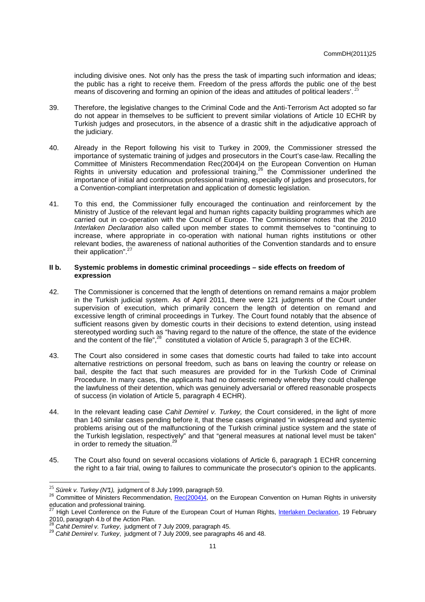including divisive ones. Not only has the press the task of imparting such information and ideas; the public has a right to receive them. Freedom of the press affords the public one of the best means of discovering and forming an opinion of the ideas and attitudes of political leaders'.<sup>25</sup>

- 39. Therefore, the legislative changes to the Criminal Code and the Anti-Terrorism Act adopted so far do not appear in themselves to be sufficient to prevent similar violations of Article 10 ECHR by Turkish judges and prosecutors, in the absence of a drastic shift in the adjudicative approach of the judiciary.
- 40. Already in the Report following his visit to Turkey in 2009, the Commissioner stressed the importance of systematic training of judges and prosecutors in the Court's case-law. Recalling the Committee of Ministers Recommendation Rec(2004)4 on the European Convention on Human Rights in university education and professional training,<sup>26</sup> the Commissioner underlined the importance of initial and continuous professional training, especially of judges and prosecutors, for a Convention-compliant interpretation and application of domestic legislation.
- 41. To this end, the Commissioner fully encouraged the continuation and reinforcement by the Ministry of Justice of the relevant legal and human rights capacity building programmes which are carried out in co-operation with the Council of Europe. The Commissioner notes that the 2010 Interlaken Declaration also called upon member states to commit themselves to "continuing to increase, where appropriate in co-operation with national human rights institutions or other relevant bodies, the awareness of national authorities of the Convention standards and to ensure their application".<sup>27</sup>

## **II b. Systemic problems in domestic criminal proceedings – side effects on freedom of expression**

- 42. The Commissioner is concerned that the length of detentions on remand remains a major problem in the Turkish judicial system. As of April 2011, there were 121 judgments of the Court under supervision of execution, which primarily concern the length of detention on remand and excessive length of criminal proceedings in Turkey. The Court found notably that the absence of sufficient reasons given by domestic courts in their decisions to extend detention, using instead stereotyped wording such as "having regard to the nature of the offence, the state of the evidence and the content of the file", $^{28}$  constituted a violation of Article 5, paragraph 3 of the ECHR.
- 43. The Court also considered in some cases that domestic courts had failed to take into account alternative restrictions on personal freedom, such as bans on leaving the country or release on bail, despite the fact that such measures are provided for in the Turkish Code of Criminal Procedure. In many cases, the applicants had no domestic remedy whereby they could challenge the lawfulness of their detention, which was genuinely adversarial or offered reasonable prospects of success (in violation of Article 5, paragraph 4 ECHR).
- 44. In the relevant leading case Cahit Demirel v. Turkey, the Court considered, in the light of more than 140 similar cases pending before it, that these cases originated "in widespread and systemic problems arising out of the malfunctioning of the Turkish criminal justice system and the state of the Turkish legislation, respectively" and that "general measures at national level must be taken" in order to remedy the situation.<sup>29</sup>
- 45. The Court also found on several occasions violations of Article 6, paragraph 1 ECHR concerning the right to a fair trial, owing to failures to communicate the prosecutor's opinion to the applicants.

<sup>&</sup>lt;sup>25</sup> Sürek v. Turkey (N°1), judgment of 8 July 1999, paragraph 59.

<sup>&</sup>lt;sup>26</sup> Committee of Ministers Recommendation, Rec(2004)4, on the European Convention on Human Rights in university education and professional training.

<sup>&</sup>lt;sup>27</sup> High Level Conference on the Future of the European Court of Human Rights, Interlaken Declaration, 19 February 2010, paragraph 4.b of the Action Plan.

Cahit Demirel v. Turkey, judgment of 7 July 2009, paragraph 45.

<sup>&</sup>lt;sup>29</sup> Cahit Demirel v. Turkey, judgment of 7 July 2009, see paragraphs 46 and 48.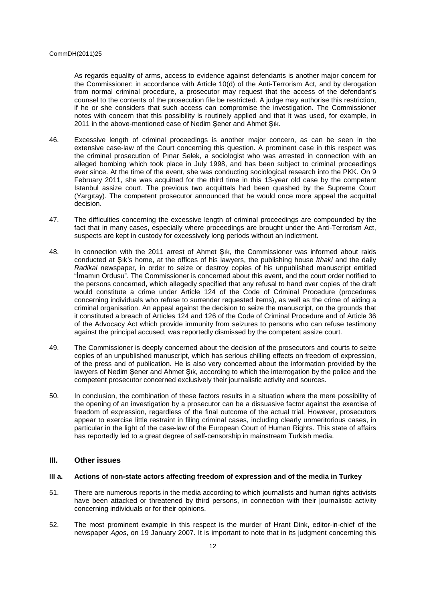As regards equality of arms, access to evidence against defendants is another major concern for the Commissioner: in accordance with Article 10(d) of the Anti-Terrorism Act, and by derogation from normal criminal procedure, a prosecutor may request that the access of the defendant's counsel to the contents of the prosecution file be restricted. A judge may authorise this restriction, if he or she considers that such access can compromise the investigation. The Commissioner notes with concern that this possibility is routinely applied and that it was used, for example, in 2011 in the above-mentioned case of Nedim Şener and Ahmet Şık.

- 46. Excessive length of criminal proceedings is another major concern, as can be seen in the extensive case-law of the Court concerning this question. A prominent case in this respect was the criminal prosecution of Pınar Selek, a sociologist who was arrested in connection with an alleged bombing which took place in July 1998, and has been subject to criminal proceedings ever since. At the time of the event, she was conducting sociological research into the PKK. On 9 February 2011, she was acquitted for the third time in this 13-year old case by the competent Istanbul assize court. The previous two acquittals had been quashed by the Supreme Court (Yargıtay). The competent prosecutor announced that he would once more appeal the acquittal decision.
- 47. The difficulties concerning the excessive length of criminal proceedings are compounded by the fact that in many cases, especially where proceedings are brought under the Anti-Terrorism Act, suspects are kept in custody for excessively long periods without an indictment.
- 48. In connection with the 2011 arrest of Ahmet Şık, the Commissioner was informed about raids conducted at Şık's home, at the offices of his lawyers, the publishing house Ithaki and the daily Radikal newspaper, in order to seize or destroy copies of his unpublished manuscript entitled "İmamın Ordusu". The Commissioner is concerned about this event, and the court order notified to the persons concerned, which allegedly specified that any refusal to hand over copies of the draft would constitute a crime under Article 124 of the Code of Criminal Procedure (procedures concerning individuals who refuse to surrender requested items), as well as the crime of aiding a criminal organisation. An appeal against the decision to seize the manuscript, on the grounds that it constituted a breach of Articles 124 and 126 of the Code of Criminal Procedure and of Article 36 of the Advocacy Act which provide immunity from seizures to persons who can refuse testimony against the principal accused, was reportedly dismissed by the competent assize court.
- 49. The Commissioner is deeply concerned about the decision of the prosecutors and courts to seize copies of an unpublished manuscript, which has serious chilling effects on freedom of expression, of the press and of publication. He is also very concerned about the information provided by the lawyers of Nedim Şener and Ahmet Şık, according to which the interrogation by the police and the competent prosecutor concerned exclusively their journalistic activity and sources.
- 50. In conclusion, the combination of these factors results in a situation where the mere possibility of the opening of an investigation by a prosecutor can be a dissuasive factor against the exercise of freedom of expression, regardless of the final outcome of the actual trial. However, prosecutors appear to exercise little restraint in filing criminal cases, including clearly unmeritorious cases, in particular in the light of the case-law of the European Court of Human Rights. This state of affairs has reportedly led to a great degree of self-censorship in mainstream Turkish media.

# **III. Other issues**

## **III a. Actions of non-state actors affecting freedom of expression and of the media in Turkey**

- 51. There are numerous reports in the media according to which journalists and human rights activists have been attacked or threatened by third persons, in connection with their journalistic activity concerning individuals or for their opinions.
- 52. The most prominent example in this respect is the murder of Hrant Dink, editor-in-chief of the newspaper Agos, on 19 January 2007. It is important to note that in its judgment concerning this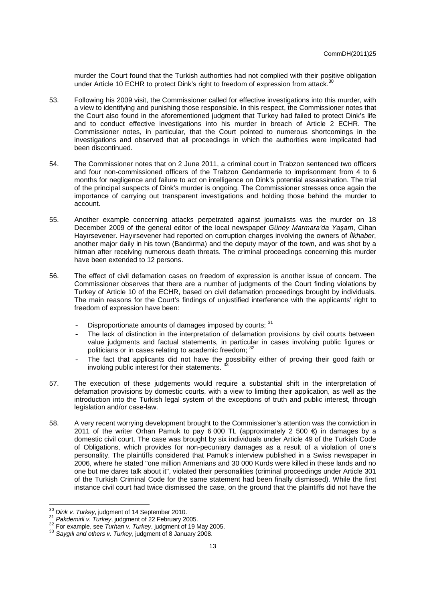murder the Court found that the Turkish authorities had not complied with their positive obligation under Article 10 ECHR to protect Dink's right to freedom of expression from attack.<sup>30</sup>

- 53. Following his 2009 visit, the Commissioner called for effective investigations into this murder, with a view to identifying and punishing those responsible. In this respect, the Commissioner notes that the Court also found in the aforementioned judgment that Turkey had failed to protect Dink's life and to conduct effective investigations into his murder in breach of Article 2 ECHR. The Commissioner notes, in particular, that the Court pointed to numerous shortcomings in the investigations and observed that all proceedings in which the authorities were implicated had been discontinued.
- 54. The Commissioner notes that on 2 June 2011, a criminal court in Trabzon sentenced two officers and four non-commissioned officers of the Trabzon Gendarmerie to imprisonment from 4 to 6 months for negligence and failure to act on intelligence on Dink's potential assassination. The trial of the principal suspects of Dink's murder is ongoing. The Commissioner stresses once again the importance of carrying out transparent investigations and holding those behind the murder to account.
- 55. Another example concerning attacks perpetrated against journalists was the murder on 18 December 2009 of the general editor of the local newspaper Güney Marmara'da Ya*ş*am, Cihan Hayırsevener. Hayırsevener had reported on corruption charges involving the owners of *İ*lkhaber, another major daily in his town (Bandırma) and the deputy mayor of the town, and was shot by a hitman after receiving numerous death threats. The criminal proceedings concerning this murder have been extended to 12 persons.
- 56. The effect of civil defamation cases on freedom of expression is another issue of concern. The Commissioner observes that there are a number of judgments of the Court finding violations by Turkey of Article 10 of the ECHR, based on civil defamation proceedings brought by individuals. The main reasons for the Court's findings of unjustified interference with the applicants' right to freedom of expression have been:
	- Disproportionate amounts of damages imposed by courts: 31
	- The lack of distinction in the interpretation of defamation provisions by civil courts between value judgments and factual statements, in particular in cases involving public figures or politicians or in cases relating to academic freedom; <sup>3</sup>
	- The fact that applicants did not have the possibility either of proving their good faith or invoking public interest for their statements.
- 57. The execution of these judgements would require a substantial shift in the interpretation of defamation provisions by domestic courts, with a view to limiting their application, as well as the introduction into the Turkish legal system of the exceptions of truth and public interest, through legislation and/or case-law.
- 58. A very recent worrying development brought to the Commissioner's attention was the conviction in 2011 of the writer Orhan Pamuk to pay 6 000 TL (approximately 2 500  $\epsilon$ ) in damages by a domestic civil court. The case was brought by six individuals under Article 49 of the Turkish Code of Obligations, which provides for non-pecuniary damages as a result of a violation of one's personality. The plaintiffs considered that Pamuk's interview published in a Swiss newspaper in 2006, where he stated "one million Armenians and 30 000 Kurds were killed in these lands and no one but me dares talk about it", violated their personalities (criminal proceedings under Article 301 of the Turkish Criminal Code for the same statement had been finally dismissed). While the first instance civil court had twice dismissed the case, on the ground that the plaintiffs did not have the

<sup>&</sup>lt;sup>30</sup> Dink v. Turkey, judgment of 14 September 2010.<br><sup>31</sup> Pekslomisli v. Turkey, judgment of 33 February 20

Pakdemirli v. Turkey, judgment of 22 February 2005.

<sup>&</sup>lt;sup>32</sup> For example, see Turhan v. Turkey, judgment of 19 May 2005.

 $33$  Saygılı and others v. Turkey, judgment of 8 January 2008.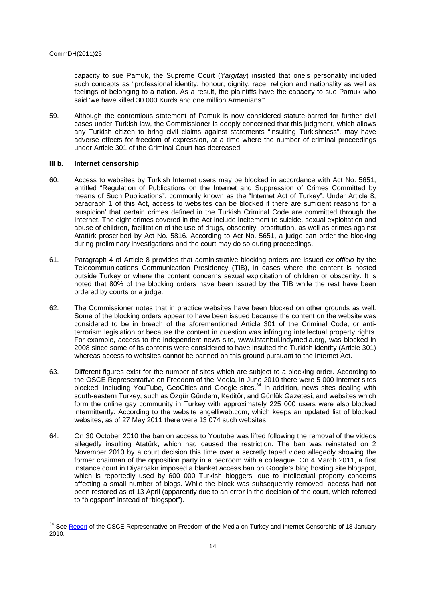capacity to sue Pamuk, the Supreme Court (Yargitay) insisted that one's personality included such concepts as "professional identity, honour, dignity, race, religion and nationality as well as feelings of belonging to a nation. As a result, the plaintiffs have the capacity to sue Pamuk who said 'we have killed 30 000 Kurds and one million Armenians'".

59. Although the contentious statement of Pamuk is now considered statute-barred for further civil cases under Turkish law, the Commissioner is deeply concerned that this judgment, which allows any Turkish citizen to bring civil claims against statements "insulting Turkishness", may have adverse effects for freedom of expression, at a time where the number of criminal proceedings under Article 301 of the Criminal Court has decreased.

#### **III b. Internet censorship**

- 60. Access to websites by Turkish Internet users may be blocked in accordance with Act No. 5651, entitled "Regulation of Publications on the Internet and Suppression of Crimes Committed by means of Such Publications", commonly known as the "Internet Act of Turkey". Under Article 8, paragraph 1 of this Act, access to websites can be blocked if there are sufficient reasons for a 'suspicion' that certain crimes defined in the Turkish Criminal Code are committed through the Internet. The eight crimes covered in the Act include incitement to suicide, sexual exploitation and abuse of children, facilitation of the use of drugs, obscenity, prostitution, as well as crimes against Atatürk proscribed by Act No. 5816. According to Act No. 5651, a judge can order the blocking during preliminary investigations and the court may do so during proceedings.
- 61. Paragraph 4 of Article 8 provides that administrative blocking orders are issued ex officio by the Telecommunications Communication Presidency (TIB), in cases where the content is hosted outside Turkey or where the content concerns sexual exploitation of children or obscenity. It is noted that 80% of the blocking orders have been issued by the TIB while the rest have been ordered by courts or a judge.
- 62. The Commissioner notes that in practice websites have been blocked on other grounds as well. Some of the blocking orders appear to have been issued because the content on the website was considered to be in breach of the aforementioned Article 301 of the Criminal Code, or antiterrorism legislation or because the content in question was infringing intellectual property rights. For example, access to the independent news site, www.istanbul.indymedia.org, was blocked in 2008 since some of its contents were considered to have insulted the Turkish identity (Article 301) whereas access to websites cannot be banned on this ground pursuant to the Internet Act.
- 63. Different figures exist for the number of sites which are subject to a blocking order. According to the OSCE Representative on Freedom of the Media, in June 2010 there were 5 000 Internet sites blocked, including YouTube, GeoCities and Google sites.<sup>34</sup> In addition, news sites dealing with south-eastern Turkey, such as Özgür Gündem, Keditör, and Günlük Gazetesi, and websites which form the online gay community in Turkey with approximately 225 000 users were also blocked intermittently. According to the website engelliweb.com, which keeps an updated list of blocked websites, as of 27 May 2011 there were 13 074 such websites.
- 64. On 30 October 2010 the ban on access to Youtube was lifted following the removal of the videos allegedly insulting Atatürk, which had caused the restriction. The ban was reinstated on 2 November 2010 by a court decision this time over a secretly taped video allegedly showing the former chairman of the opposition party in a bedroom with a colleague. On 4 March 2011, a first instance court in Diyarbakır imposed a blanket access ban on Google's blog hosting site blogspot, which is reportedly used by 600 000 Turkish bloggers, due to intellectual property concerns affecting a small number of blogs. While the block was subsequently removed, access had not been restored as of 13 April (apparently due to an error in the decision of the court, which referred to "blogsport" instead of "blogspot").

 <sup>34</sup> See **Report** of the OSCE Representative on Freedom of the Media on Turkey and Internet Censorship of 18 January 2010.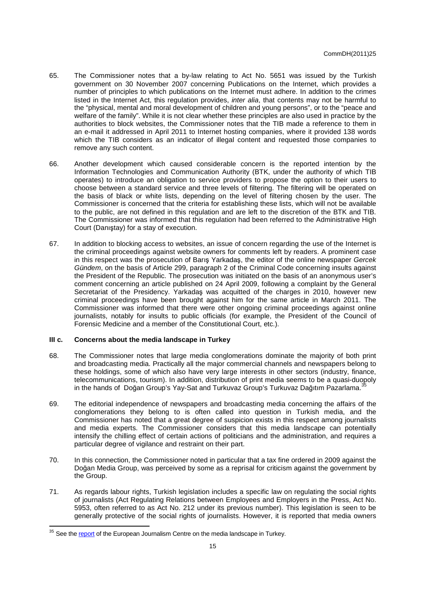- 65. The Commissioner notes that a by-law relating to Act No. 5651 was issued by the Turkish government on 30 November 2007 concerning Publications on the Internet, which provides a number of principles to which publications on the Internet must adhere. In addition to the crimes listed in the Internet Act, this regulation provides, *inter alia*, that contents may not be harmful to the "physical, mental and moral development of children and young persons", or to the "peace and welfare of the family". While it is not clear whether these principles are also used in practice by the authorities to block websites, the Commissioner notes that the TIB made a reference to them in an e-mail it addressed in April 2011 to Internet hosting companies, where it provided 138 words which the TIB considers as an indicator of illegal content and requested those companies to remove any such content.
- 66. Another development which caused considerable concern is the reported intention by the Information Technologies and Communication Authority (BTK, under the authority of which TIB operates) to introduce an obligation to service providers to propose the option to their users to choose between a standard service and three levels of filtering. The filtering will be operated on the basis of black or white lists, depending on the level of filtering chosen by the user. The Commissioner is concerned that the criteria for establishing these lists, which will not be available to the public, are not defined in this regulation and are left to the discretion of the BTK and TIB. The Commissioner was informed that this regulation had been referred to the Administrative High Court (Danıştay) for a stay of execution.
- 67. In addition to blocking access to websites, an issue of concern regarding the use of the Internet is the criminal proceedings against website owners for comments left by readers. A prominent case in this respect was the prosecution of Barış Yarkadaş, the editor of the online newspaper Gercek Gündem, on the basis of Article 299, paragraph 2 of the Criminal Code concerning insults against the President of the Republic. The prosecution was initiated on the basis of an anonymous user's comment concerning an article published on 24 April 2009, following a complaint by the General Secretariat of the Presidency. Yarkadaş was acquitted of the charges in 2010, however new criminal proceedings have been brought against him for the same article in March 2011. The Commissioner was informed that there were other ongoing criminal proceedings against online journalists, notably for insults to public officials (for example, the President of the Council of Forensic Medicine and a member of the Constitutional Court, etc.).

#### **III c. Concerns about the media landscape in Turkey**

- 68. The Commissioner notes that large media conglomerations dominate the majority of both print and broadcasting media. Practically all the major commercial channels and newspapers belong to these holdings, some of which also have very large interests in other sectors (industry, finance, telecommunications, tourism). In addition, distribution of print media seems to be a quasi-duopoly in the hands of Doğan Group's Yay-Sat and Turkuvaz Group's Turkuvaz Dağıtım Pazarlama.<sup>35</sup>
- 69. The editorial independence of newspapers and broadcasting media concerning the affairs of the conglomerations they belong to is often called into question in Turkish media, and the Commissioner has noted that a great degree of suspicion exists in this respect among journalists and media experts. The Commissioner considers that this media landscape can potentially intensify the chilling effect of certain actions of politicians and the administration, and requires a particular degree of vigilance and restraint on their part.
- 70. In this connection, the Commissioner noted in particular that a tax fine ordered in 2009 against the Doğan Media Group, was perceived by some as a reprisal for criticism against the government by the Group.
- 71. As regards labour rights, Turkish legislation includes a specific law on regulating the social rights of journalists (Act Regulating Relations between Employees and Employers in the Press, Act No. 5953, often referred to as Act No. 212 under its previous number). This legislation is seen to be generally protective of the social rights of journalists. However, it is reported that media owners

<sup>&</sup>lt;sup>35</sup> See the report of the European Journalism Centre on the media landscape in Turkey.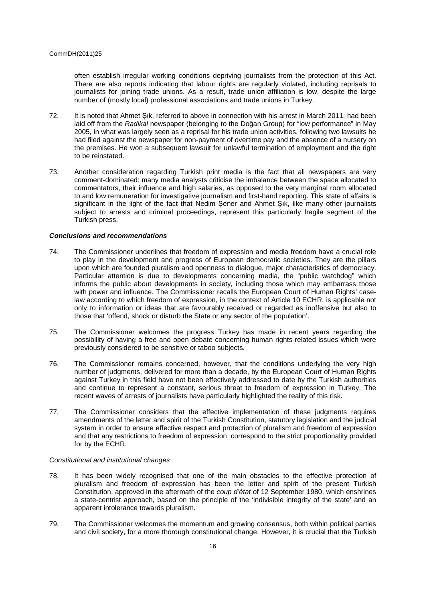often establish irregular working conditions depriving journalists from the protection of this Act. There are also reports indicating that labour rights are regularly violated, including reprisals to journalists for joining trade unions. As a result, trade union affiliation is low, despite the large number of (mostly local) professional associations and trade unions in Turkey.

- 72. It is noted that Ahmet Şık, referred to above in connection with his arrest in March 2011, had been laid off from the Radikal newspaper (belonging to the Doğan Group) for "low performance" in May 2005, in what was largely seen as a reprisal for his trade union activities, following two lawsuits he had filed against the newspaper for non-payment of overtime pay and the absence of a nursery on the premises. He won a subsequent lawsuit for unlawful termination of employment and the right to be reinstated.
- 73. Another consideration regarding Turkish print media is the fact that all newspapers are very comment-dominated: many media analysts criticise the imbalance between the space allocated to commentators, their influence and high salaries, as opposed to the very marginal room allocated to and low remuneration for investigative journalism and first-hand reporting. This state of affairs is significant in the light of the fact that Nedim Şener and Ahmet Şık, like many other journalists subject to arrests and criminal proceedings, represent this particularly fragile segment of the Turkish press.

#### **Conclusions and recommendations**

- 74. The Commissioner underlines that freedom of expression and media freedom have a crucial role to play in the development and progress of European democratic societies. They are the pillars upon which are founded pluralism and openness to dialogue, major characteristics of democracy. Particular attention is due to developments concerning media, the "public watchdog" which informs the public about developments in society, including those which may embarrass those with power and influence. The Commissioner recalls the European Court of Human Rights' caselaw according to which freedom of expression, in the context of Article 10 ECHR, is applicable not only to information or ideas that are favourably received or regarded as inoffensive but also to those that 'offend, shock or disturb the State or any sector of the population'.
- 75. The Commissioner welcomes the progress Turkey has made in recent years regarding the possibility of having a free and open debate concerning human rights-related issues which were previously considered to be sensitive or taboo subjects.
- 76. The Commissioner remains concerned, however, that the conditions underlying the very high number of judgments, delivered for more than a decade, by the European Court of Human Rights against Turkey in this field have not been effectively addressed to date by the Turkish authorities and continue to represent a constant, serious threat to freedom of expression in Turkey. The recent waves of arrests of journalists have particularly highlighted the reality of this risk.
- 77. The Commissioner considers that the effective implementation of these judgments requires amendments of the letter and spirit of the Turkish Constitution, statutory legislation and the judicial system in order to ensure effective respect and protection of pluralism and freedom of expression and that any restrictions to freedom of expression correspond to the strict proportionality provided for by the ECHR.

#### Constitutional and institutional changes

- 78. It has been widely recognised that one of the main obstacles to the effective protection of pluralism and freedom of expression has been the letter and spirit of the present Turkish Constitution, approved in the aftermath of the coup d'état of 12 September 1980, which enshrines a state-centrist approach, based on the principle of the 'indivisible integrity of the state' and an apparent intolerance towards pluralism.
- 79. The Commissioner welcomes the momentum and growing consensus, both within political parties and civil society, for a more thorough constitutional change. However, it is crucial that the Turkish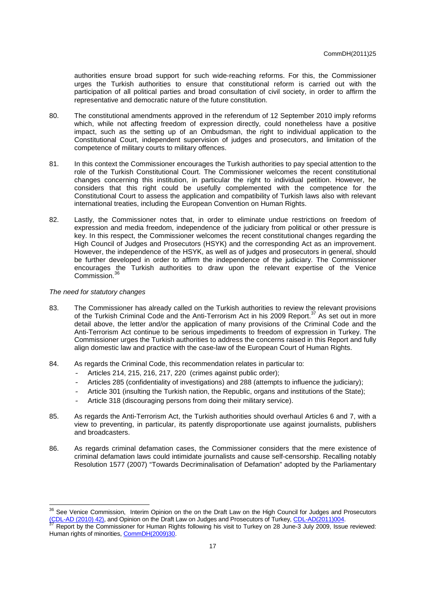authorities ensure broad support for such wide-reaching reforms. For this, the Commissioner urges the Turkish authorities to ensure that constitutional reform is carried out with the participation of all political parties and broad consultation of civil society, in order to affirm the representative and democratic nature of the future constitution.

- 80. The constitutional amendments approved in the referendum of 12 September 2010 imply reforms which, while not affecting freedom of expression directly, could nonetheless have a positive impact, such as the setting up of an Ombudsman, the right to individual application to the Constitutional Court, independent supervision of judges and prosecutors, and limitation of the competence of military courts to military offences.
- 81. In this context the Commissioner encourages the Turkish authorities to pay special attention to the role of the Turkish Constitutional Court. The Commissioner welcomes the recent constitutional changes concerning this institution, in particular the right to individual petition. However, he considers that this right could be usefully complemented with the competence for the Constitutional Court to assess the application and compatibility of Turkish laws also with relevant international treaties, including the European Convention on Human Rights.
- 82. Lastly, the Commissioner notes that, in order to eliminate undue restrictions on freedom of expression and media freedom, independence of the judiciary from political or other pressure is key. In this respect, the Commissioner welcomes the recent constitutional changes regarding the High Council of Judges and Prosecutors (HSYK) and the corresponding Act as an improvement. However, the independence of the HSYK, as well as of judges and prosecutors in general, should be further developed in order to affirm the independence of the judiciary. The Commissioner encourages the Turkish authorities to draw upon the relevant expertise of the Venice Commission.<sup>36</sup>

## The need for statutory changes

- 83. The Commissioner has already called on the Turkish authorities to review the relevant provisions of the Turkish Criminal Code and the Anti-Terrorism Act in his 2009 Report.<sup>37</sup> As set out in more detail above, the letter and/or the application of many provisions of the Criminal Code and the Anti-Terrorism Act continue to be serious impediments to freedom of expression in Turkey. The Commissioner urges the Turkish authorities to address the concerns raised in this Report and fully align domestic law and practice with the case-law of the European Court of Human Rights.
- 84. As regards the Criminal Code, this recommendation relates in particular to:
	- Articles 214, 215, 216, 217, 220 (crimes against public order);
	- Articles 285 (confidentiality of investigations) and 288 (attempts to influence the judiciary);
	- Article 301 (insulting the Turkish nation, the Republic, organs and institutions of the State);
	- Article 318 (discouraging persons from doing their military service).
- 85. As regards the Anti-Terrorism Act, the Turkish authorities should overhaul Articles 6 and 7, with a view to preventing, in particular, its patently disproportionate use against journalists, publishers and broadcasters.
- 86. As regards criminal defamation cases, the Commissioner considers that the mere existence of criminal defamation laws could intimidate journalists and cause self-censorship. Recalling notably Resolution 1577 (2007) "Towards Decriminalisation of Defamation" adopted by the Parliamentary

<sup>&</sup>lt;sup>36</sup> See Venice Commission, Interim Opinion on the on the Draft Law on the High Council for Judges and Prosecutors (CDL-AD (2010) 42), and Opinion on the Draft Law on Judges and Prosecutors of Turkey, CDL-AD(2011)004.

<sup>37</sup> Report by the Commissioner for Human Rights following his visit to Turkey on 28 June-3 July 2009, Issue reviewed: Human rights of minorities, CommDH(2009)30.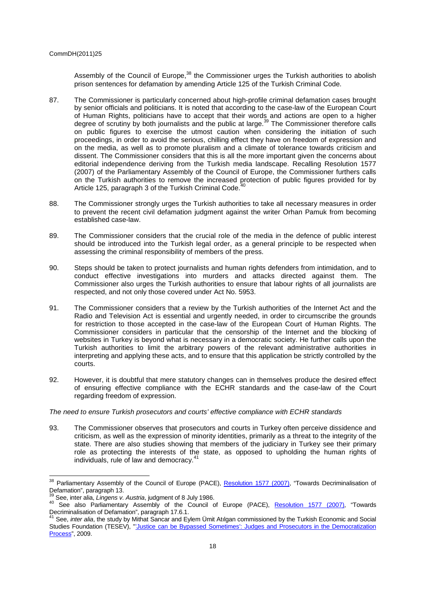Assembly of the Council of Europe,<sup>38</sup> the Commissioner urges the Turkish authorities to abolish prison sentences for defamation by amending Article 125 of the Turkish Criminal Code.

- 87. The Commissioner is particularly concerned about high-profile criminal defamation cases brought by senior officials and politicians. It is noted that according to the case-law of the European Court of Human Rights, politicians have to accept that their words and actions are open to a higher degree of scrutiny by both journalists and the public at large.<sup>39</sup> The Commissioner therefore calls on public figures to exercise the utmost caution when considering the initiation of such proceedings, in order to avoid the serious, chilling effect they have on freedom of expression and on the media, as well as to promote pluralism and a climate of tolerance towards criticism and dissent. The Commissioner considers that this is all the more important given the concerns about editorial independence deriving from the Turkish media landscape. Recalling Resolution 1577 (2007) of the Parliamentary Assembly of the Council of Europe, the Commissioner furthers calls on the Turkish authorities to remove the increased protection of public figures provided for by Article 125, paragraph 3 of the Turkish Criminal Code.<sup>40</sup>
- 88. The Commissioner strongly urges the Turkish authorities to take all necessary measures in order to prevent the recent civil defamation judgment against the writer Orhan Pamuk from becoming established case-law.
- 89. The Commissioner considers that the crucial role of the media in the defence of public interest should be introduced into the Turkish legal order, as a general principle to be respected when assessing the criminal responsibility of members of the press.
- 90. Steps should be taken to protect journalists and human rights defenders from intimidation, and to conduct effective investigations into murders and attacks directed against them. The Commissioner also urges the Turkish authorities to ensure that labour rights of all journalists are respected, and not only those covered under Act No. 5953.
- 91. The Commissioner considers that a review by the Turkish authorities of the Internet Act and the Radio and Television Act is essential and urgently needed, in order to circumscribe the grounds for restriction to those accepted in the case-law of the European Court of Human Rights. The Commissioner considers in particular that the censorship of the Internet and the blocking of websites in Turkey is beyond what is necessary in a democratic society. He further calls upon the Turkish authorities to limit the arbitrary powers of the relevant administrative authorities in interpreting and applying these acts, and to ensure that this application be strictly controlled by the courts.
- 92. However, it is doubtful that mere statutory changes can in themselves produce the desired effect of ensuring effective compliance with the ECHR standards and the case-law of the Court regarding freedom of expression.

## The need to ensure Turkish prosecutors and courts' effective compliance with ECHR standards

93. The Commissioner observes that prosecutors and courts in Turkey often perceive dissidence and criticism, as well as the expression of minority identities, primarily as a threat to the integrity of the state. There are also studies showing that members of the judiciary in Turkey see their primary role as protecting the interests of the state, as opposed to upholding the human rights of individuals, rule of law and democracy.<sup>4</sup>

<sup>&</sup>lt;sup>38</sup> Parliamentary Assembly of the Council of Europe (PACE), **Resolution 1577 (2007)**, "Towards Decriminalisation of Defamation", paragraph 13.

<sup>&</sup>lt;sup>39</sup> See, inter alia, *Lingens v. Austria*, judgment of 8 July 1986.

See, inter and, *Lingens v. Addund*, judgition of bloar, 1999. Decriminalisation of Defamation", paragraph 17.6.1.

<sup>41</sup> See, *inter alia*, the study by Mithat Sancar and Eylem Umit Atılgan commissioned by the Turkish Economic and Social Studies Foundation (TESEV), "'Justice can be Bypassed Sometimes': Judges and Prosecutors in the Democratization Process", 2009.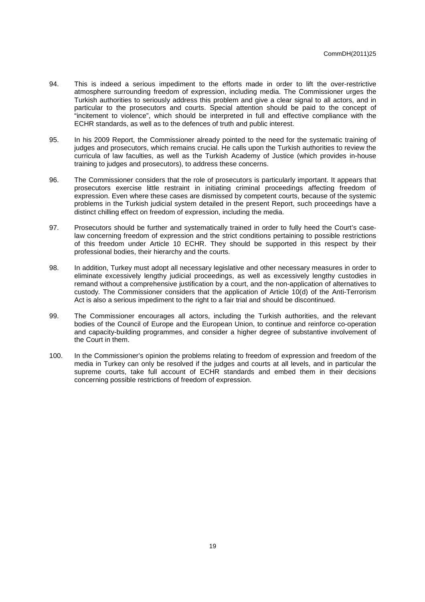- 94. This is indeed a serious impediment to the efforts made in order to lift the over-restrictive atmosphere surrounding freedom of expression, including media. The Commissioner urges the Turkish authorities to seriously address this problem and give a clear signal to all actors, and in particular to the prosecutors and courts. Special attention should be paid to the concept of "incitement to violence", which should be interpreted in full and effective compliance with the ECHR standards, as well as to the defences of truth and public interest.
- 95. In his 2009 Report, the Commissioner already pointed to the need for the systematic training of judges and prosecutors, which remains crucial. He calls upon the Turkish authorities to review the curricula of law faculties, as well as the Turkish Academy of Justice (which provides in-house training to judges and prosecutors), to address these concerns.
- 96. The Commissioner considers that the role of prosecutors is particularly important. It appears that prosecutors exercise little restraint in initiating criminal proceedings affecting freedom of expression. Even where these cases are dismissed by competent courts, because of the systemic problems in the Turkish judicial system detailed in the present Report, such proceedings have a distinct chilling effect on freedom of expression, including the media.
- 97. Prosecutors should be further and systematically trained in order to fully heed the Court's caselaw concerning freedom of expression and the strict conditions pertaining to possible restrictions of this freedom under Article 10 ECHR. They should be supported in this respect by their professional bodies, their hierarchy and the courts.
- 98. In addition, Turkey must adopt all necessary legislative and other necessary measures in order to eliminate excessively lengthy judicial proceedings, as well as excessively lengthy custodies in remand without a comprehensive justification by a court, and the non-application of alternatives to custody. The Commissioner considers that the application of Article 10(d) of the Anti-Terrorism Act is also a serious impediment to the right to a fair trial and should be discontinued.
- 99. The Commissioner encourages all actors, including the Turkish authorities, and the relevant bodies of the Council of Europe and the European Union, to continue and reinforce co-operation and capacity-building programmes, and consider a higher degree of substantive involvement of the Court in them.
- 100. In the Commissioner's opinion the problems relating to freedom of expression and freedom of the media in Turkey can only be resolved if the judges and courts at all levels, and in particular the supreme courts, take full account of ECHR standards and embed them in their decisions concerning possible restrictions of freedom of expression.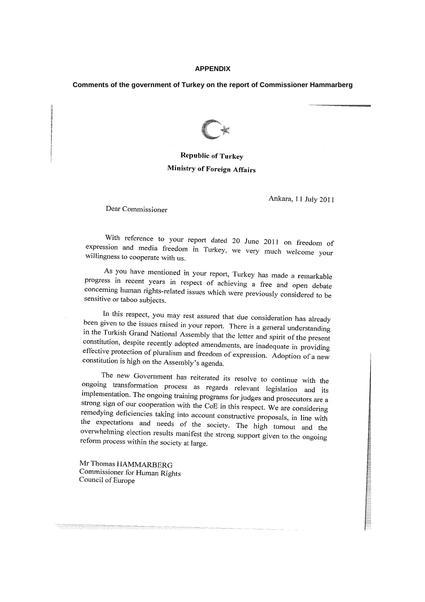#### **APPENDIX**

## **Comments of the government of Turkey on the report of Commissioner Hammarberg**



# **Republic of Turkey** Ministry of Foreign Affairs

Ankara, 11 July 2011

Dear Commissioner

With reference to your report dated 20 June 2011 on freedom of expression and media freedom in Turkey, we very much welcome your willingness to cooperate with us.

As you have mentioned in your report, Turkey has made a remarkable progress in recent years in respect of achieving a free and open debate concerning human rights-related issues which were previously considered to be<br>sensitive or takes rule sensitive or taboo subjects.

In this respect, you may rest assured that due consideration has already been given to the issues raised in your report. There is a general understanding<br>in the Turkish Grand Matisard, A in the Turkish Grand National Assembly that the letter and spirit of the present constitution, despite recently adopted amendments, are inadequate in providing<br>effective protection of about it. effective protection of pluralism and freedom of expression. Adoption of a new constitution is high on the Assembly's agenda.

The new Government has reiterated its resolve to continue with the ongoing transformation process as regards relevant legislation and its<br>implementation. The set is the initial that is relevant legislation and its implementation. The ongoing training programs for judges and prosecutors are a<br>strong sign of our connection. strong sign of our cooperation with the CoE in this respect. We are considering<br>remedving deficiencies  $\pm 1$ . remedying deficiencies taking into account constructive proposals, in line with the expectations and needs of the society. The high turnout and the<br>overwhelming election manths overwhelming election results manifest the strong support given to the ongoing reform process within the society at large.

Mr Thomas HAMMARBERG Commissioner for Human Rights Council of Europe

<u> Personal de la provincia de la provincia de la provincia de la provincia de la provincia de la provincia del</u>